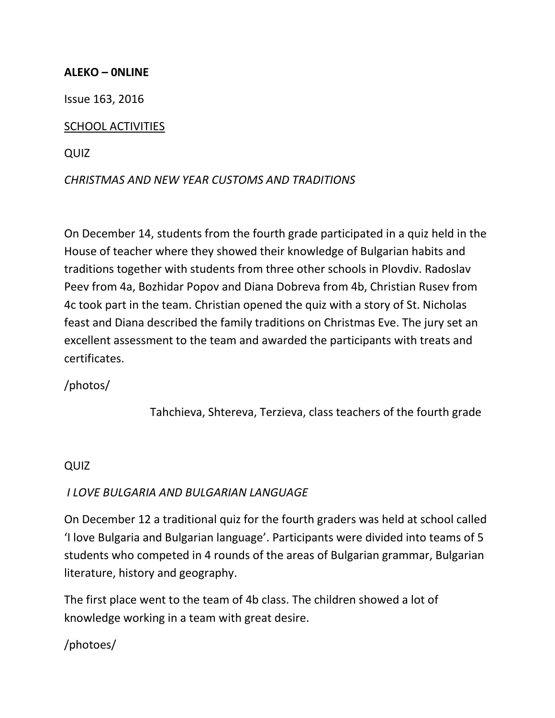#### **ALEKO – 0NLINE**

Issue 163, 2016

### SCHOOL ACTIVITIES

QUIZ

### *CHRISTMAS AND NEW YEAR CUSTOMS AND TRADITIONS*

On December 14, students from the fourth grade participated in a quiz held in the House of teacher where they showed their knowledge of Bulgarian habits and traditions together with students from three other schools in Plovdiv. Radoslav Peev from 4a, Bozhidar Popov and Diana Dobreva from 4b, Christian Rusev from 4c took part in the team. Christian opened the quiz with a story of St. Nicholas feast and Diana described the family traditions on Christmas Eve. The jury set an excellent assessment to the team and awarded the participants with treats and certificates.

# /photos/

Tahchieva, Shtereva, Terzieva, class teachers of the fourth grade

### QUIZ

### *I LOVE BULGARIA AND BULGARIAN LANGUAGE*

On December 12 a traditional quiz for the fourth graders was held at school called 'I love Bulgaria and Bulgarian language'. Participants were divided into teams of 5 students who competed in 4 rounds of the areas of Bulgarian grammar, Bulgarian literature, history and geography.

The first place went to the team of 4b class. The children showed a lot of knowledge working in a team with great desire.

# /photoes/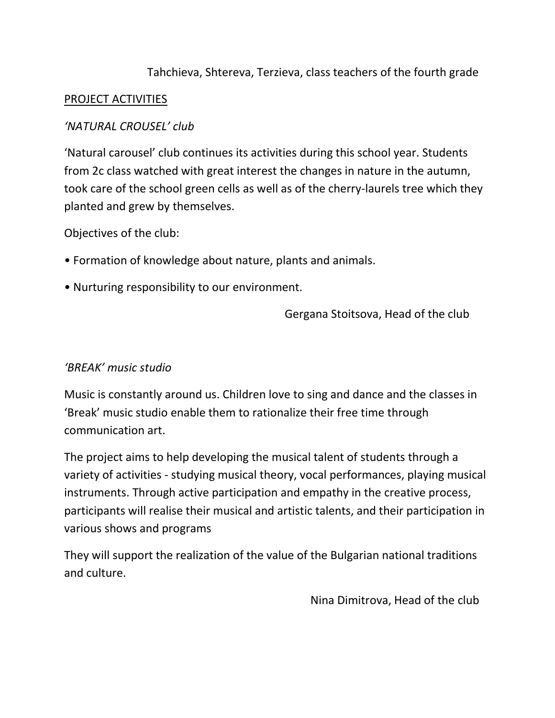# Tahchieva, Shtereva, Terzieva, class teachers of the fourth grade

### PROJECT ACTIVITIES

### *'NATURAL CROUSEL' club*

'Natural carousel' club continues its activities during this school year. Students from 2c class watched with great interest the changes in nature in the autumn, took care of the school green cells as well as of the cherry-laurels tree which they planted and grew by themselves.

Objectives of the club:

- Formation of knowledge about nature, plants and animals.
- Nurturing responsibility to our environment.

Gergana Stoitsova, Head of the club

### *'BREAK' music studio*

Music is constantly around us. Children love to sing and dance and the classes in 'Break' music studio enable them to rationalize their free time through communication art.

The project aims to help developing the musical talent of students through a variety of activities - studying musical theory, vocal performances, playing musical instruments. Through active participation and empathy in the creative process, participants will realise their musical and artistic talents, and their participation in various shows and programs

They will support the realization of the value of the Bulgarian national traditions and culture.

Nina Dimitrova, Head of the club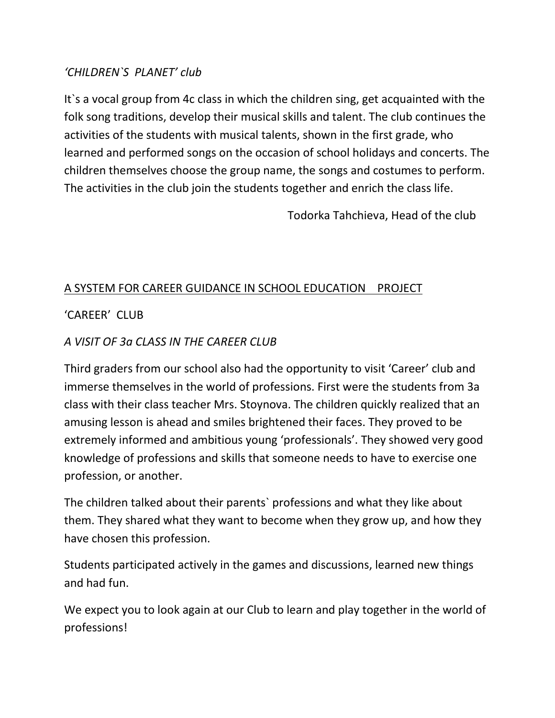# *'CHILDREN`S PLANET' club*

It`s a vocal group from 4c class in which the children sing, get acquainted with the folk song traditions, develop their musical skills and talent. The club continues the activities of the students with musical talents, shown in the first grade, who learned and performed songs on the occasion of school holidays and concerts. The children themselves choose the group name, the songs and costumes to perform. The activities in the club join the students together and enrich the class life.

Todorka Tahchieva, Head of the club

# A SYSTEM FOR CAREER GUIDANCE IN SCHOOL EDUCATION PROJECT

# 'CAREER' CLUB

# *A VISIT OF 3a CLASS IN THE CAREER CLUB*

Third graders from our school also had the opportunity to visit 'Career' club and immerse themselves in the world of professions. First were the students from 3a class with their class teacher Mrs. Stoynova. The children quickly realized that an amusing lesson is ahead and smiles brightened their faces. They proved to be extremely informed and ambitious young 'professionals'. They showed very good knowledge of professions and skills that someone needs to have to exercise one profession, or another.

The children talked about their parents` professions and what they like about them. They shared what they want to become when they grow up, and how they have chosen this profession.

Students participated actively in the games and discussions, learned new things and had fun.

We expect you to look again at our Club to learn and play together in the world of professions!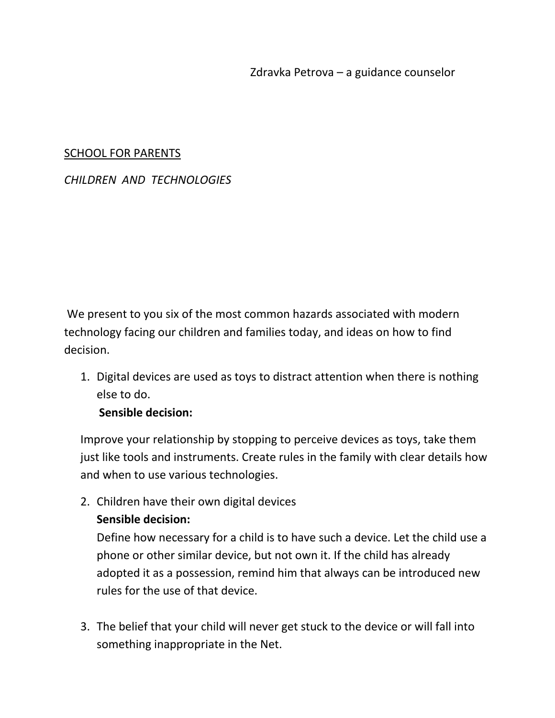#### SCHOOL FOR PARENTS

### *CHILDREN AND TECHNOLOGIES*

We present to you six of the most common hazards associated with modern technology facing our children and families today, and ideas on how to find decision.

1. Digital devices are used as toys to distract attention when there is nothing else to do.

### **Sensible decision:**

Improve your relationship by stopping to perceive devices as toys, take them just like tools and instruments. Create rules in the family with clear details how and when to use various technologies.

2. Children have their own digital devices **Sensible decision:**

Define how necessary for a child is to have such a device. Let the child use a phone or other similar device, but not own it. If the child has already adopted it as a possession, remind him that always can be introduced new rules for the use of that device.

3. The belief that your child will never get stuck to the device or will fall into something inappropriate in the Net.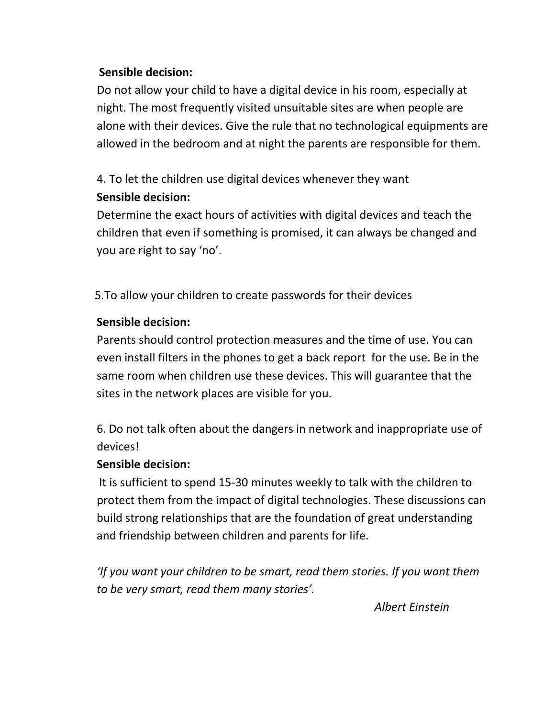### **Sensible decision:**

Do not allow your child to have a digital device in his room, especially at night. The most frequently visited unsuitable sites are when people are alone with their devices. Give the rule that no technological equipments are allowed in the bedroom and at night the parents are responsible for them.

# 4. To let the children use digital devices whenever they want **Sensible decision:**

Determine the exact hours of activities with digital devices and teach the children that even if something is promised, it can always be changed and you are right to say 'no'.

5.To allow your children to create passwords for their devices

# **Sensible decision:**

Parents should control protection measures and the time of use. You can even install filters in the phones to get a back report for the use. Be in the same room when children use these devices. This will guarantee that the sites in the network places are visible for you.

6. Do not talk often about the dangers in network and inappropriate use of devices!

# **Sensible decision:**

It is sufficient to spend 15-30 minutes weekly to talk with the children to protect them from the impact of digital technologies. These discussions can build strong relationships that are the foundation of great understanding and friendship between children and parents for life.

*'If you want your children to be smart, read them stories. If you want them to be very smart, read them many stories'.*

 *Albert Einstein*